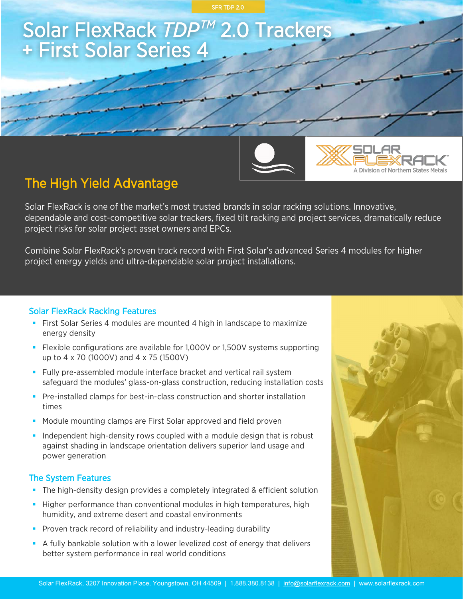

# The High Yield Advantage

Solar FlexRack is one of the market's most trusted brands in solar racking solutions. Innovative, dependable and cost-competitive solar trackers, fixed tilt racking and project services, dramatically reduce project risks for solar project asset owners and EPCs.

Combine Solar FlexRack's proven track record with First Solar's advanced Series 4 modules for higher project energy yields and ultra-dependable solar project installations.

#### Solar FlexRack Racking Features

- First Solar Series 4 modules are mounted 4 high in landscape to maximize energy density
- Flexible configurations are available for 1,000V or 1,500V systems supporting up to 4 x 70 (1000V) and 4 x 75 (1500V)
- § Fully pre-assembled module interface bracket and vertical rail system safeguard the modules' glass-on-glass construction, reducing installation costs
- **Pre-installed clamps for best-in-class construction and shorter installation** times
- Module mounting clamps are First Solar approved and field proven
- Independent high-density rows coupled with a module design that is robust against shading in landscape orientation delivers superior land usage and power generation

#### The System Features

- **•** The high-density design provides a completely integrated & efficient solution
- **Higher performance than conventional modules in high temperatures, high** humidity, and extreme desert and coastal environments
- **•** Proven track record of reliability and industry-leading durability
- **•** A fully bankable solution with a lower levelized cost of energy that delivers better system performance in real world conditions